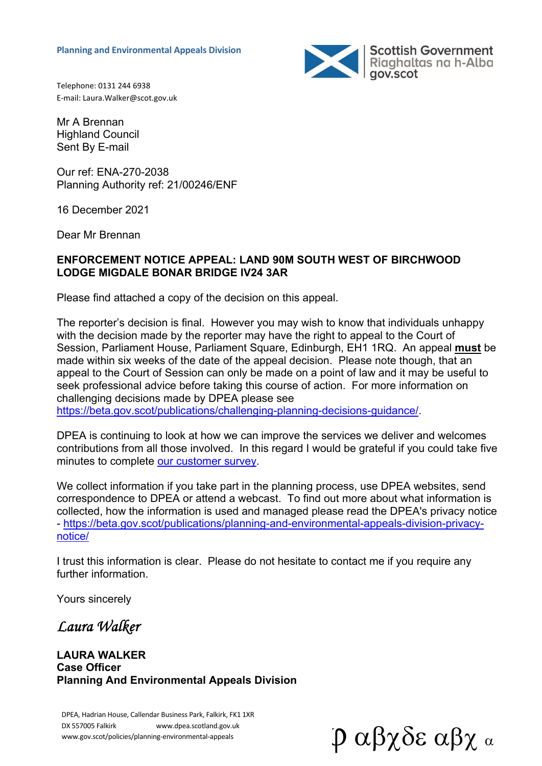

Telephone: 0131 244 6938 E‐mail: Laura.Walker@scot.gov.uk

Mr A Brennan Highland Council Sent By E-mail

Our ref: ENA-270-2038 Planning Authority ref: 21/00246/ENF

16 December 2021

Dear Mr Brennan

#### **ENFORCEMENT NOTICE APPEAL: LAND 90M SOUTH WEST OF BIRCHWOOD LODGE MIGDALE BONAR BRIDGE IV24 3AR**

Please find attached a copy of the decision on this appeal.

The reporter's decision is final. However you may wish to know that individuals unhappy with the decision made by the reporter may have the right to appeal to the Court of Session, Parliament House, Parliament Square, Edinburgh, EH1 1RQ. An appeal **must** be made within six weeks of the date of the appeal decision. Please note though, that an appeal to the Court of Session can only be made on a point of law and it may be useful to seek professional advice before taking this course of action. For more information on challenging decisions made by DPEA please see

https://beta.gov.scot/publications/challenging-planning-decisions-guidance/.

DPEA is continuing to look at how we can improve the services we deliver and welcomes contributions from all those involved. In this regard I would be grateful if you could take five minutes to complete our customer survey.

We collect information if you take part in the planning process, use DPEA websites, send correspondence to DPEA or attend a webcast. To find out more about what information is collected, how the information is used and managed please read the DPEA's privacy notice - https://beta.gov.scot/publications/planning-and-environmental-appeals-division-privacynotice/

I trust this information is clear. Please do not hesitate to contact me if you require any further information.

Yours sincerely

*Laura Walker* 

**LAURA WALKER Case Officer Planning And Environmental Appeals Division** 

DPEA, Hadrian House, Callendar Business Park, Falkirk, FK1 1XR DX 557005 Falkirk www.dpea.scotland.gov.uk

www.gov.scot/policies/planning-environmental-appeals  $\mathfrak{p}$   $\alpha\beta\chi\delta\epsilon$   $\alpha\beta\chi$   $\alpha$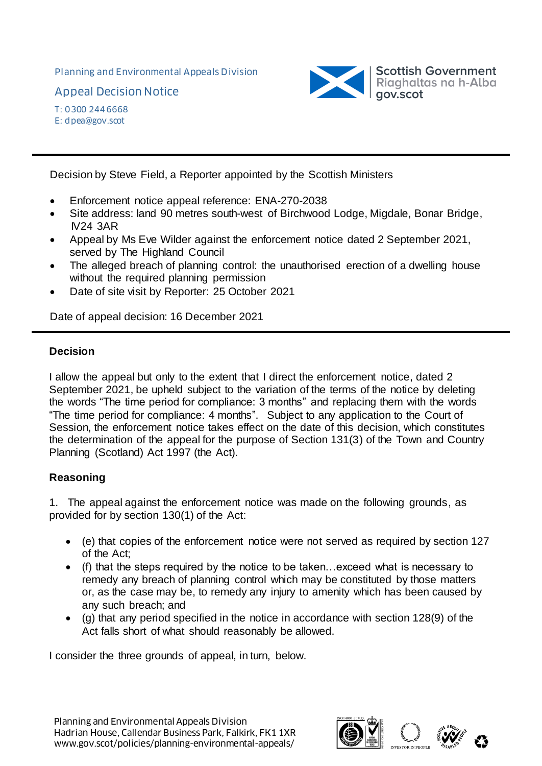Planning and Environmental Appeals Division

Appeal Decision Notice



T: 0300 244 6668 E: dpea@gov.scot

Decision by Steve Field, a Reporter appointed by the Scottish Ministers

- Enforcement notice appeal reference: ENA-270-2038
- Site address: land 90 metres south-west of Birchwood Lodge, Migdale, Bonar Bridge, IV24 3AR
- Appeal by Ms Eve Wilder against the enforcement notice dated 2 September 2021, served by The Highland Council
- The alleged breach of planning control: the unauthorised erection of a dwelling house without the required planning permission
- Date of site visit by Reporter: 25 October 2021

Date of appeal decision: 16 December 2021

#### **Decision**

I allow the appeal but only to the extent that I direct the enforcement notice, dated 2 September 2021, be upheld subject to the variation of the terms of the notice by deleting the words "The time period for compliance: 3 months" and replacing them with the words "The time period for compliance: 4 months". Subject to any application to the Court of Session, the enforcement notice takes effect on the date of this decision, which constitutes the determination of the appeal for the purpose of Section 131(3) of the Town and Country Planning (Scotland) Act 1997 (the Act).

# **Reasoning**

1. The appeal against the enforcement notice was made on the following grounds, as provided for by section 130(1) of the Act:

- (e) that copies of the enforcement notice were not served as required by section 127 of the Act;
- (f) that the steps required by the notice to be taken…exceed what is necessary to remedy any breach of planning control which may be constituted by those matters or, as the case may be, to remedy any injury to amenity which has been caused by any such breach; and
- (g) that any period specified in the notice in accordance with section 128(9) of the Act falls short of what should reasonably be allowed.

I consider the three grounds of appeal, in turn, below.

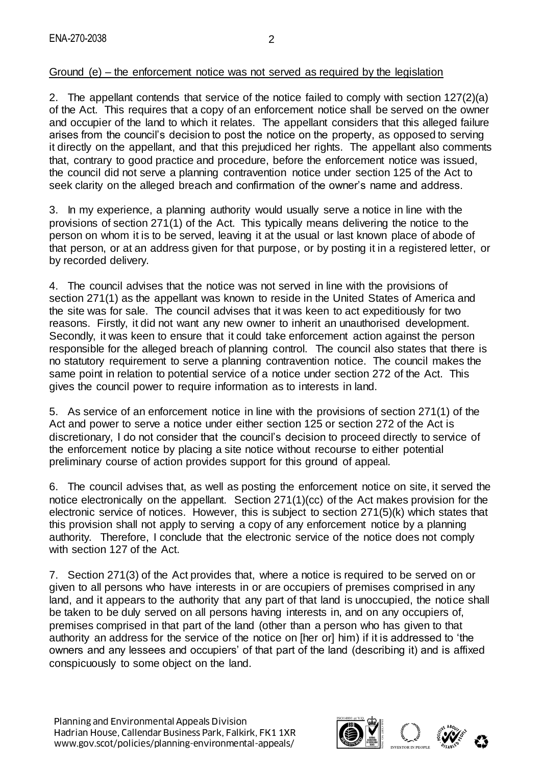# Ground (e) – the enforcement notice was not served as required by the legislation

2. The appellant contends that service of the notice failed to comply with section 127(2)(a) of the Act. This requires that a copy of an enforcement notice shall be served on the owner and occupier of the land to which it relates. The appellant considers that this alleged failure arises from the council's decision to post the notice on the property, as opposed to serving it directly on the appellant, and that this prejudiced her rights. The appellant also comments that, contrary to good practice and procedure, before the enforcement notice was issued, the council did not serve a planning contravention notice under section 125 of the Act to seek clarity on the alleged breach and confirmation of the owner's name and address.

3. In my experience, a planning authority would usually serve a notice in line with the provisions of section 271(1) of the Act. This typically means delivering the notice to the person on whom it is to be served, leaving it at the usual or last known place of abode of that person, or at an address given for that purpose, or by posting it in a registered letter, or by recorded delivery.

4. The council advises that the notice was not served in line with the provisions of section 271(1) as the appellant was known to reside in the United States of America and the site was for sale. The council advises that it was keen to act expeditiously for two reasons. Firstly, it did not want any new owner to inherit an unauthorised development. Secondly, it was keen to ensure that it could take enforcement action against the person responsible for the alleged breach of planning control. The council also states that there is no statutory requirement to serve a planning contravention notice. The council makes the same point in relation to potential service of a notice under section 272 of the Act. This gives the council power to require information as to interests in land.

5. As service of an enforcement notice in line with the provisions of section 271(1) of the Act and power to serve a notice under either section 125 or section 272 of the Act is discretionary, I do not consider that the council's decision to proceed directly to service of the enforcement notice by placing a site notice without recourse to either potential preliminary course of action provides support for this ground of appeal.

6. The council advises that, as well as posting the enforcement notice on site, it served the notice electronically on the appellant. Section 271(1)(cc) of the Act makes provision for the electronic service of notices. However, this is subject to section 271(5)(k) which states that this provision shall not apply to serving a copy of any enforcement notice by a planning authority. Therefore, I conclude that the electronic service of the notice does not comply with section 127 of the Act.

7. Section 271(3) of the Act provides that, where a notice is required to be served on or given to all persons who have interests in or are occupiers of premises comprised in any land, and it appears to the authority that any part of that land is unoccupied, the notice shall be taken to be duly served on all persons having interests in, and on any occupiers of, premises comprised in that part of the land (other than a person who has given to that authority an address for the service of the notice on [her or] him) if it is addressed to 'the owners and any lessees and occupiers' of that part of the land (describing it) and is affixed conspicuously to some object on the land.

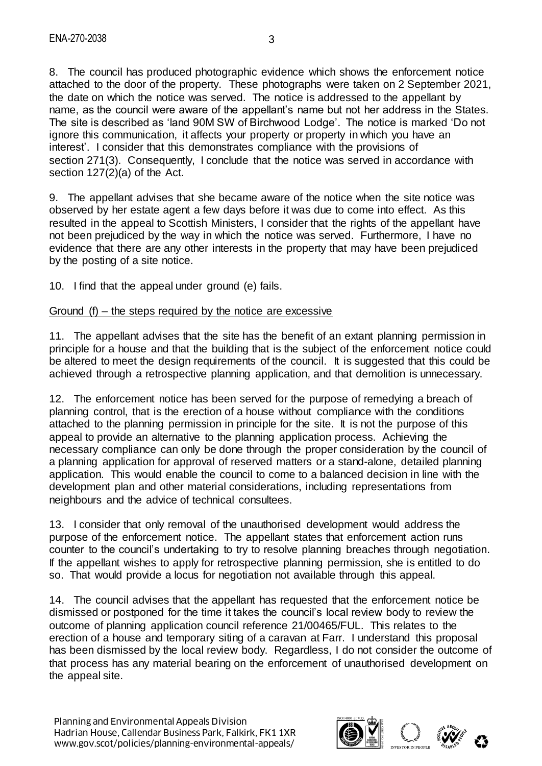8. The council has produced photographic evidence which shows the enforcement notice attached to the door of the property. These photographs were taken on 2 September 2021, the date on which the notice was served. The notice is addressed to the appellant by name, as the council were aware of the appellant's name but not her address in the States. The site is described as 'land 90M SW of Birchwood Lodge'. The notice is marked 'Do not ignore this communication, it affects your property or property in which you have an interest'. I consider that this demonstrates compliance with the provisions of section 271(3). Consequently, I conclude that the notice was served in accordance with section 127(2)(a) of the Act.

9. The appellant advises that she became aware of the notice when the site notice was observed by her estate agent a few days before it was due to come into effect. As this resulted in the appeal to Scottish Ministers, I consider that the rights of the appellant have not been prejudiced by the way in which the notice was served. Furthermore, I have no evidence that there are any other interests in the property that may have been prejudiced by the posting of a site notice.

10. I find that the appeal under ground (e) fails.

#### Ground (f) – the steps required by the notice are excessive

11. The appellant advises that the site has the benefit of an extant planning permission in principle for a house and that the building that is the subject of the enforcement notice could be altered to meet the design requirements of the council. It is suggested that this could be achieved through a retrospective planning application, and that demolition is unnecessary.

12. The enforcement notice has been served for the purpose of remedying a breach of planning control, that is the erection of a house without compliance with the conditions attached to the planning permission in principle for the site. It is not the purpose of this appeal to provide an alternative to the planning application process. Achieving the necessary compliance can only be done through the proper consideration by the council of a planning application for approval of reserved matters or a stand-alone, detailed planning application. This would enable the council to come to a balanced decision in line with the development plan and other material considerations, including representations from neighbours and the advice of technical consultees.

13. I consider that only removal of the unauthorised development would address the purpose of the enforcement notice. The appellant states that enforcement action runs counter to the council's undertaking to try to resolve planning breaches through negotiation. If the appellant wishes to apply for retrospective planning permission, she is entitled to do so. That would provide a locus for negotiation not available through this appeal.

14. The council advises that the appellant has requested that the enforcement notice be dismissed or postponed for the time it takes the council's local review body to review the outcome of planning application council reference 21/00465/FUL. This relates to the erection of a house and temporary siting of a caravan at Farr. I understand this proposal has been dismissed by the local review body. Regardless, I do not consider the outcome of that process has any material bearing on the enforcement of unauthorised development on the appeal site.